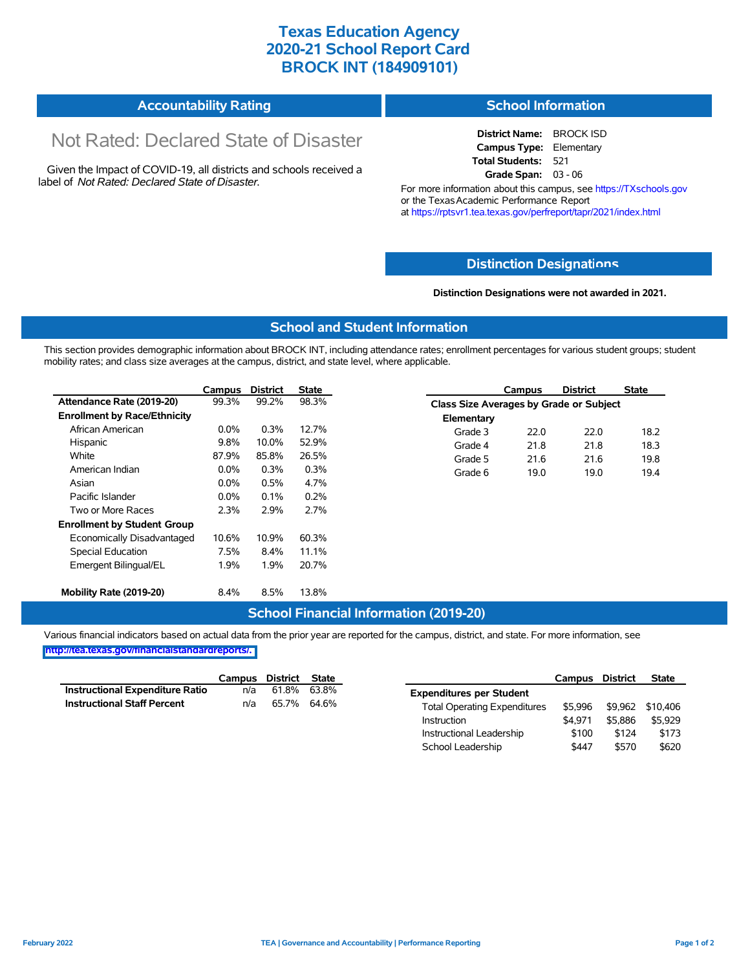# **Texas Education Agency 2020-21 School Report Card BROCK INT (184909101)**

| Accountability Rating | <b>School Information</b> |
|-----------------------|---------------------------|
|-----------------------|---------------------------|

# Not Rated: Declared State of Disaster

Given the Impact of COVID-19, all districts and schools received a label of *Not Rated: Declared State of Disaster.*

**District Name:** BROCK ISD **Campus Type:** Elementary **Total Students:** 521 **Grade Span:** 03 - 06

For more information about this campus, see https://TXschools.gov or the Texas Academic Performance Report at https://rptsvr1.tea.texas.gov/perfreport/tapr/2021/index.html

### **Distinction Designat[ions](https://TXschools.gov)**

**Distinction Designations were not awarded in 2021.**

School Leadership  $$447$  \$570 \$620

#### **School and Student Information**

This section provides demographic information about BROCK INT, including attendance rates; enrollment percentages for various student groups; student mobility rates; and class size averages at the campus, district, and state level, where applicable.

|                                     | Campus  | <b>District</b> | <b>State</b> |            | Campus                                  | <b>District</b> | <b>State</b> |  |  |  |
|-------------------------------------|---------|-----------------|--------------|------------|-----------------------------------------|-----------------|--------------|--|--|--|
| Attendance Rate (2019-20)           | 99.3%   | 99.2%           | 98.3%        |            | Class Size Averages by Grade or Subject |                 |              |  |  |  |
| <b>Enrollment by Race/Ethnicity</b> |         |                 |              | Elementary |                                         |                 |              |  |  |  |
| African American                    | $0.0\%$ | 0.3%            | 12.7%        | Grade 3    | 22.0                                    | 22.0            | 18.2         |  |  |  |
| Hispanic                            | 9.8%    | 10.0%           | 52.9%        | Grade 4    | 21.8                                    | 21.8            | 18.3         |  |  |  |
| White                               | 87.9%   | 85.8%           | 26.5%        | Grade 5    | 21.6                                    | 21.6            | 19.8         |  |  |  |
| American Indian                     | $0.0\%$ | 0.3%            | 0.3%         | Grade 6    | 19.0                                    | 19.0            | 19.4         |  |  |  |
| Asian                               | $0.0\%$ | 0.5%            | 4.7%         |            |                                         |                 |              |  |  |  |
| Pacific Islander                    | $0.0\%$ | 0.1%            | 0.2%         |            |                                         |                 |              |  |  |  |
| Two or More Races                   | 2.3%    | 2.9%            | 2.7%         |            |                                         |                 |              |  |  |  |
| <b>Enrollment by Student Group</b>  |         |                 |              |            |                                         |                 |              |  |  |  |
| Economically Disadvantaged          | 10.6%   | 10.9%           | 60.3%        |            |                                         |                 |              |  |  |  |
| Special Education                   | 7.5%    | 8.4%            | 11.1%        |            |                                         |                 |              |  |  |  |
| Emergent Bilingual/EL               | 1.9%    | 1.9%            | 20.7%        |            |                                         |                 |              |  |  |  |
|                                     |         |                 |              |            |                                         |                 |              |  |  |  |
| Mobility Rate (2019-20)             | $8.4\%$ | 8.5%            | 13.8%        |            |                                         |                 |              |  |  |  |

## **School Financial Information (2019-20)**

Various financial indicators based on actual data from the prior year are reported for the campus, district, and state. For more information, see

**[http://tea.texas.gov/financialstandardreports/.](http://tea.texas.gov/financialstandardreports/)**

|                                        | Campus | District State |             |                                     | Campus  | <b>District</b> | <b>State</b>     |
|----------------------------------------|--------|----------------|-------------|-------------------------------------|---------|-----------------|------------------|
| <b>Instructional Expenditure Ratio</b> | n/a    |                | 61.8% 63.8% | <b>Expenditures per Student</b>     |         |                 |                  |
| <b>Instructional Staff Percent</b>     | n/a    |                | 65.7% 64.6% | <b>Total Operating Expenditures</b> | \$5.996 |                 | \$9.962 \$10.406 |
|                                        |        |                |             | Instruction                         | \$4.971 | \$5.886         | \$5.929          |
|                                        |        |                |             | Instructional Leadership            | \$100   | \$124           | \$173            |